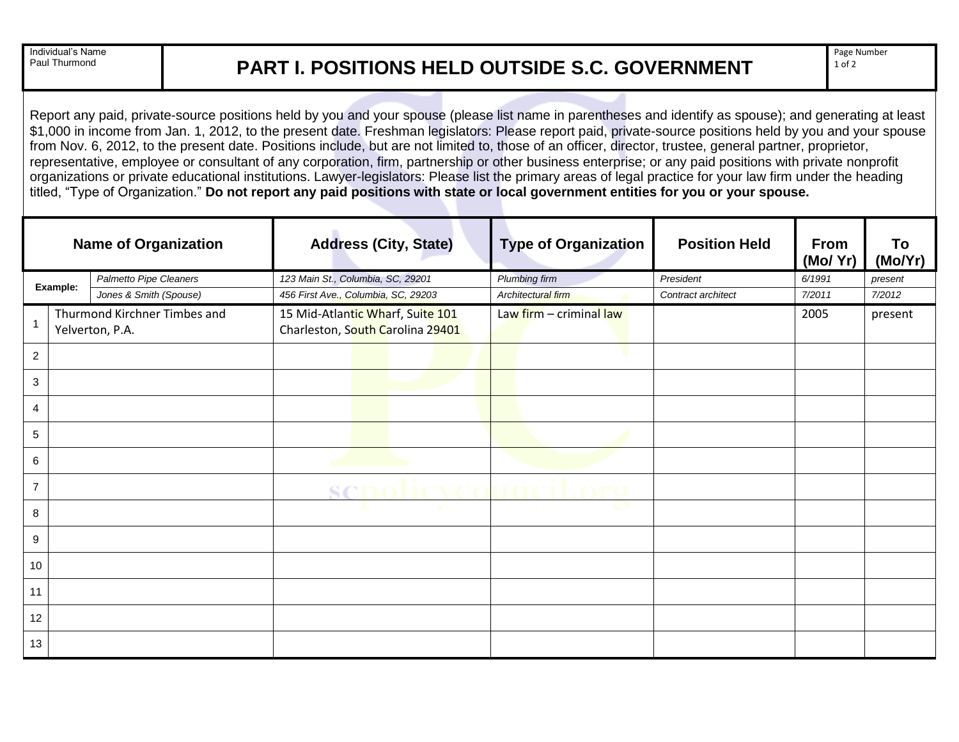Individual's Name<br>Paul Thurmond

## **PART I. POSITIONS HELD OUTSIDE S.C. GOVERNMENT**

Report any paid, private-source positions held by you and your spouse (please list name in parentheses and identify as spouse); and generating at least \$1,000 in income from Jan. 1, 2012, to the present date. Freshman legislators: Please report paid, private-source positions held by you and your spouse from Nov. 6, 2012, to the present date. Positions include, but are not limited to, those of an officer, director, trustee, general partner, proprietor, representative, employee or consultant of any corporation, firm, partnership or other business enterprise; or any paid positions with private nonprofit organizations or private educational institutions. Lawyer-legislators: Please list the primary areas of legal practice for your law firm under the heading titled, "Type of Organization." **Do not report any paid positions with state or local government entities for you or your spouse.**

| <b>Name of Organization</b> |  |                                                 | <b>Address (City, State)</b>                                         | <b>Type of Organization</b> | <b>Position Held</b> | From<br>(Mo/ Yr) | To<br>(Mo/Yr) |
|-----------------------------|--|-------------------------------------------------|----------------------------------------------------------------------|-----------------------------|----------------------|------------------|---------------|
| Example:                    |  | Palmetto Pipe Cleaners                          | 123 Main St., Columbia, SC, 29201                                    | <b>Plumbing firm</b>        | President            | 6/1991           | present       |
|                             |  | Jones & Smith (Spouse)                          | 456 First Ave., Columbia, SC, 29203                                  | Architectural firm          | Contract architect   | 7/2011           | 7/2012        |
|                             |  | Thurmond Kirchner Timbes and<br>Yelverton, P.A. | 15 Mid-Atlantic Wharf, Suite 101<br>Charleston, South Carolina 29401 | Law firm - criminal law     |                      | 2005             | present       |
| $\overline{c}$              |  |                                                 |                                                                      |                             |                      |                  |               |
| 3                           |  |                                                 |                                                                      |                             |                      |                  |               |
| 4                           |  |                                                 |                                                                      |                             |                      |                  |               |
| 5                           |  |                                                 |                                                                      |                             |                      |                  |               |
| 6                           |  |                                                 |                                                                      |                             |                      |                  |               |
| $\overline{7}$              |  |                                                 |                                                                      |                             |                      |                  |               |
| 8                           |  |                                                 |                                                                      |                             |                      |                  |               |
| 9                           |  |                                                 |                                                                      |                             |                      |                  |               |
| 10                          |  |                                                 |                                                                      |                             |                      |                  |               |
| 11                          |  |                                                 |                                                                      |                             |                      |                  |               |
| 12                          |  |                                                 |                                                                      |                             |                      |                  |               |
| 13                          |  |                                                 |                                                                      |                             |                      |                  |               |